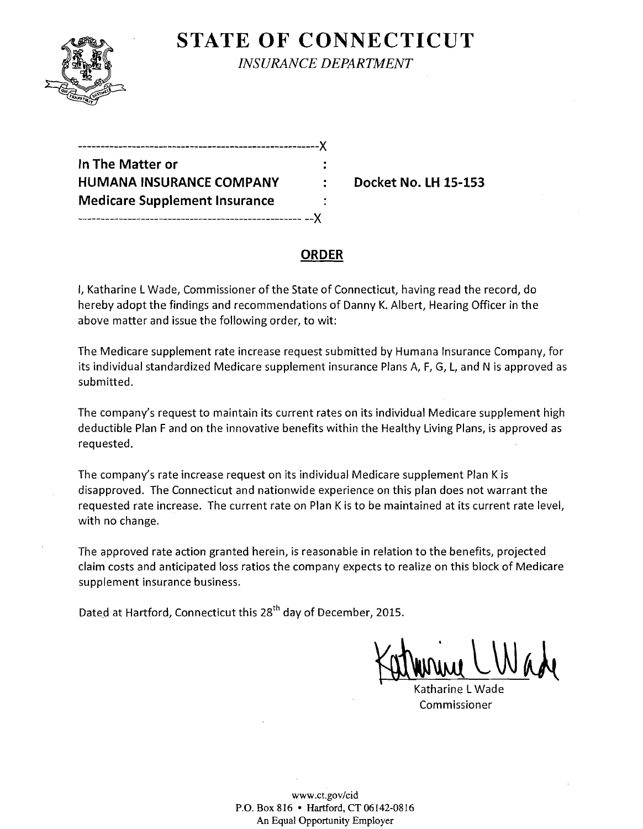

**STATE OF CONNECTICUT** *INSURANCE DEPARTMENT* 

| .-------------------------- <i>-------</i> ----X |  |
|--------------------------------------------------|--|
| In The Matter or                                 |  |
| <b>HUMANA INSURANCE COMPANY</b>                  |  |
| <b>Medicare Supplement Insurance</b>             |  |
| --------------------------------                 |  |

**Docket No. LH 15-153** 

### **ORDER**

I, Katharine L Wade, Commissioner of the State of Connecticut, having read the record, do hereby adopt the findings and recommendations of Danny K. Albert, Hearing Officer in the above matter and issue the following order, to wit:

The Medicare supplement rate increase request submitted by Humana Insurance Company, for its individual standardized Medicare supplement insurance Plans A, F, G, L, and N is approved as submitted.

The company's request to maintain its current rates on its individual Medicare supplement high deductible Plan F and on the innovative benefits within the Healthy Living Plans, is approved as requested.

The company's rate increase request on its individual Medicare supplement Plan K is disapproved. The Connecticut and nationwide experience on this plan does not warrant the requested rate increase. The current rate on Plan K is to be maintained at its current rate level, with no change.

The approved rate action granted herein, is reasonable in relation to the benefits, projected claim costs and anticipated loss ratios the company expects to realize on this block of Medicare supplement insurance business.

Dated at Hartford, Connecticut this 28<sup>th</sup> day of December, 2015.

Katherine CWade

Katharine L Wade Commissioner

www.ct.gov/cid P.O. Box 816 • Hartford, CT 06142-0816 An Equal Opportunity Employer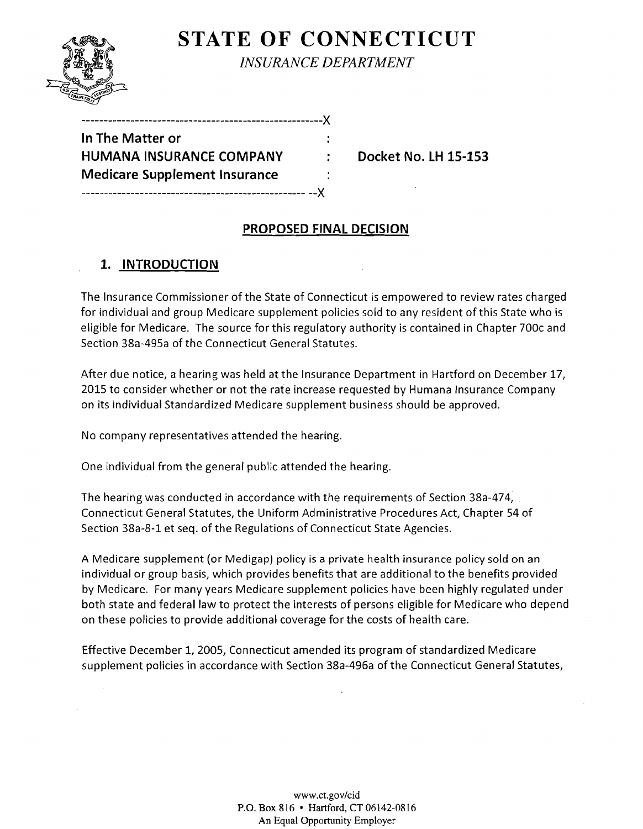

# **STATE OF CONNECTICUT** *INSURANCE DEPARTMENT*

| In The Matter or                     |  |
|--------------------------------------|--|
| HUMANA INSURANCE COMPANY             |  |
| <b>Medicare Supplement Insurance</b> |  |
|                                      |  |

------------------------------------------------------)(

**HUMANA INSURANCE COMPANY Docket No. lH 15-153** 

## **PROPOSED FINAL DECISION**

÷

# **1. INTRODUCTION**

The Insurance Commissioner of the State of Connecticut is empowered to review rates charged for individual and group Medicare supplement policies sold to any resident of this State who is eligible for Medicare. The source for this regulatory authority is contained in Chapter 700c and Section 38a-495a of the Connecticut General Statutes.

After due notice, a hearing was held at the Insurance Department in Hartford on December 17/ 2015 to consider whether or not the rate increase requested by Humana Insurance Company on its individual Standardized Medicare supplement business should be approved.

No company representatives attended the hearing.

One individual from the general public attended the hearing.

The hearing was conducted in accordance with the requirements of Section 38a-474, Connecticut General Statutes, the Uniform Administrative Procedures Act, Chapter 54 of Section 38a-8-1 et seq. of the Regulations of Connecticut State Agencies.

A Medicare supplement (or Medigap) policy is a private health insurance policy sold on an individual or group basis, which provides benefits that are additional to the benefits provided by Medicare. For many years Medicare supplement policies have been highly regulated under both state and federal law to protect the interests of persons eligible for Medicare who depend on these policies to provide additional coverage for the costs of health care.

Effective December 1/ 2005/ Connecticut amended its program of standardized Medicare supplement policies in accordance with Section 38a-496a of the Connecticut General Statutes,

> www.ct.gov/cid P.O. Box 816 • Hartford, CT 06142-0816 An Equal Opportunity Employer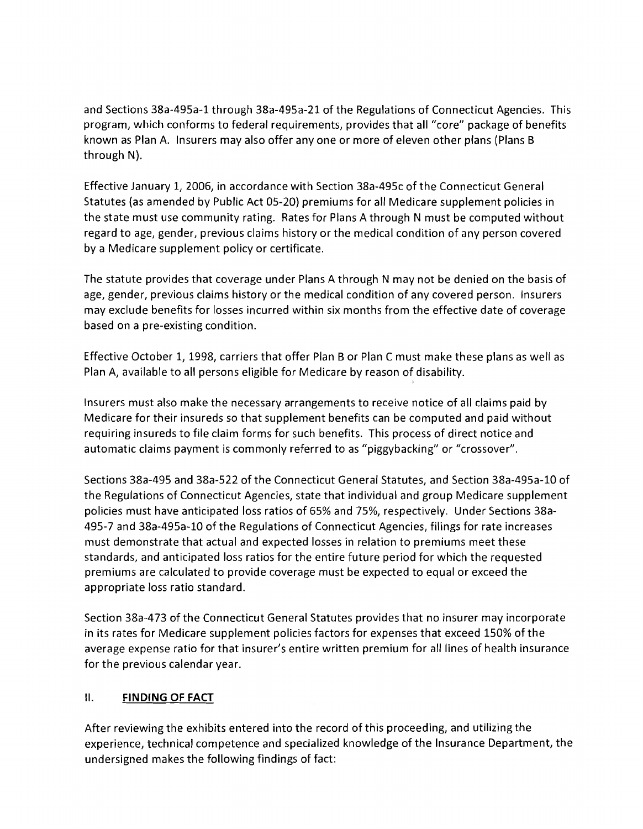and Sections 38a-495a-1 through 38a-495a-21 of the Regulations of Connecticut Agencies. This program, which conforms to federal requirements, provides that all "core" package of benefits known as Plan A. Insurers may also offer anyone or more of eleven other plans (Plans B through N).

Effective January 1, 2006, in accordance with Section 38a-495c of the Connecticut General Statutes (as amended by Public Act 05-20) premiums for all Medicare supplement policies in the state must use community rating. Rates for Plans A through N must be computed without regard to age, gender, previous claims history or the medical condition of any person covered by a Medicare supplement policy or certificate.

The statute provides that coverage under Plans A through N may not be denied on the basis of age, gender, previous claims history or the medical condition of any covered person. Insurers may exclude benefits for losses incurred within six months from the effective date of coverage based on a pre-existing condition.

Effective October 1, 1998, carriers that offer Plan B or Plan C must make these plans as well as Plan A, available to all persons eligible for Medicare by reason of disability.

Insurers must also make the necessary arrangements to receive notice of all claims paid by Medicare for their insureds so that supplement benefits can be computed and paid without requiring insureds to file claim forms for such benefits. This process of direct notice and automatic claims payment is commonly referred to as "piggybacking" or "crossover",

Sections 38a-495 and 38a-522 of the Connecticut General Statutes, and Section 38a-495a-10 of the Regulations of Connecticut Agencies, state that individual and group Medicare supplement policies must have anticipated loss ratios of 65% and 75%, respectively. Under Sections 38a-495-7 and 38a-495a-10 of the Regulations of Connecticut Agencies, filings for rate increases must demonstrate that actual and expected losses in relation to premiums meet these standards, and anticipated loss ratios for the entire future period for which the requested premiums are calculated to provide coverage must be expected to equal or exceed the appropriate loss ratio standard.

Section 38a-473 of the Connecticut General Statutes provides that no insurer may incorporate in its rates for Medicare supplement policies factors for expenses that exceed 150% of the average expense ratio for that insurer's entire written premium for all lines of health insurance for the previous calendar year.

#### II. **FINDING OF FACT**

After reviewing the exhibits entered into the record of this proceeding, and utilizing the experience, technical competence and specialized knowledge of the Insurance Department, the undersigned makes the following findings of fact: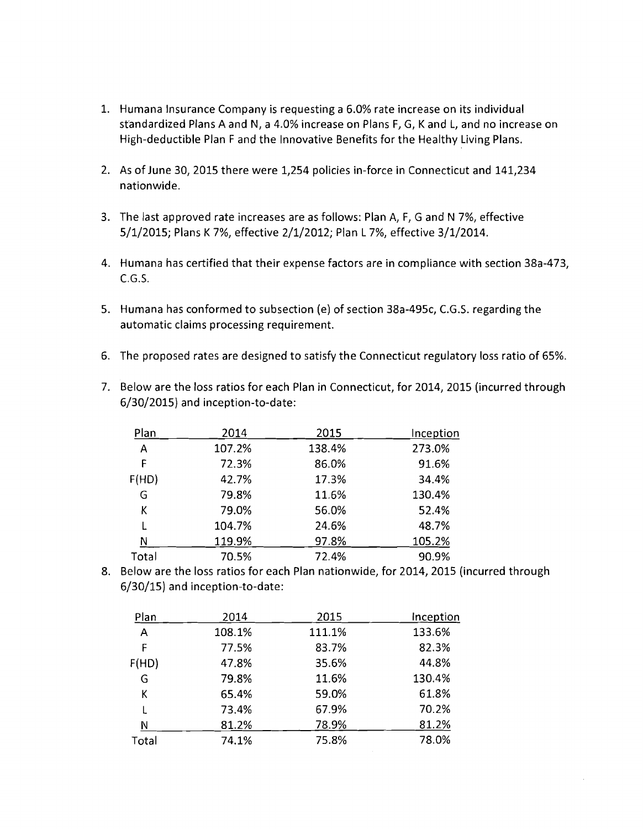- 1. Humana Insurance Company is requesting a 6.0% rate increase on its individual standardized Plans A and N, a 4.0% increase on Plans F, G, K and L, and no increase on High-deductible Plan F and the Innovative Benefits for the Healthy Living Plans.
- 2. As of June 30, 2015 there were 1,254 policies in-force in Connecticut and 141,234 nationwide.
- 3. The last approved rate increases are as follows: Plan A, F, G and N 7%, effective 5/1/2015; Plans K 7%, effective 2/1/2012; Plan L 7%, effective 3/1/2014.
- 4. Humana has certified that their expense factors are in compliance with section 38a-473,  $C.G.S.$
- 5. Humana has conformed to subsection (e) of section 38a-495c, C.G.S. regarding the automatic claims processing requirement.
- 6. The proposed rates are designed to satisfy the Connecticut regulatory loss ratio of 65%.
- 7. Below are the loss ratios for each Plan in Connecticut, for 2014, 2015 (incurred through 6/30/2015) and inception-to-date:

| Plan  | 2014   | 2015   | Inception |
|-------|--------|--------|-----------|
| A     | 107.2% | 138.4% | 273.0%    |
| F     | 72.3%  | 86.0%  | 91.6%     |
| F(HD) | 42.7%  | 17.3%  | 34.4%     |
| G     | 79.8%  | 11.6%  | 130.4%    |
| Κ     | 79.0%  | 56.0%  | 52.4%     |
|       | 104.7% | 24.6%  | 48.7%     |
| N     | 119.9% | 97.8%  | 105.2%    |
| Total | 70.5%  | 72.4%  | 90.9%     |

8. Below are the loss ratios for each Plan nationwide, for 2014, 2015 (incurred through 6/30/15) and inception-to-date:

| Plan  | 2014   | 2015   | Inception |
|-------|--------|--------|-----------|
| A     | 108.1% | 111.1% | 133.6%    |
| F     | 77.5%  | 83.7%  | 82.3%     |
| F(HD) | 47.8%  | 35.6%  | 44.8%     |
| G     | 79.8%  | 11.6%  | 130.4%    |
| К     | 65.4%  | 59.0%  | 61.8%     |
|       | 73.4%  | 67.9%  | 70.2%     |
| N     | 81.2%  | 78.9%  | 81.2%     |
| Total | 74.1%  | 75.8%  | 78.0%     |